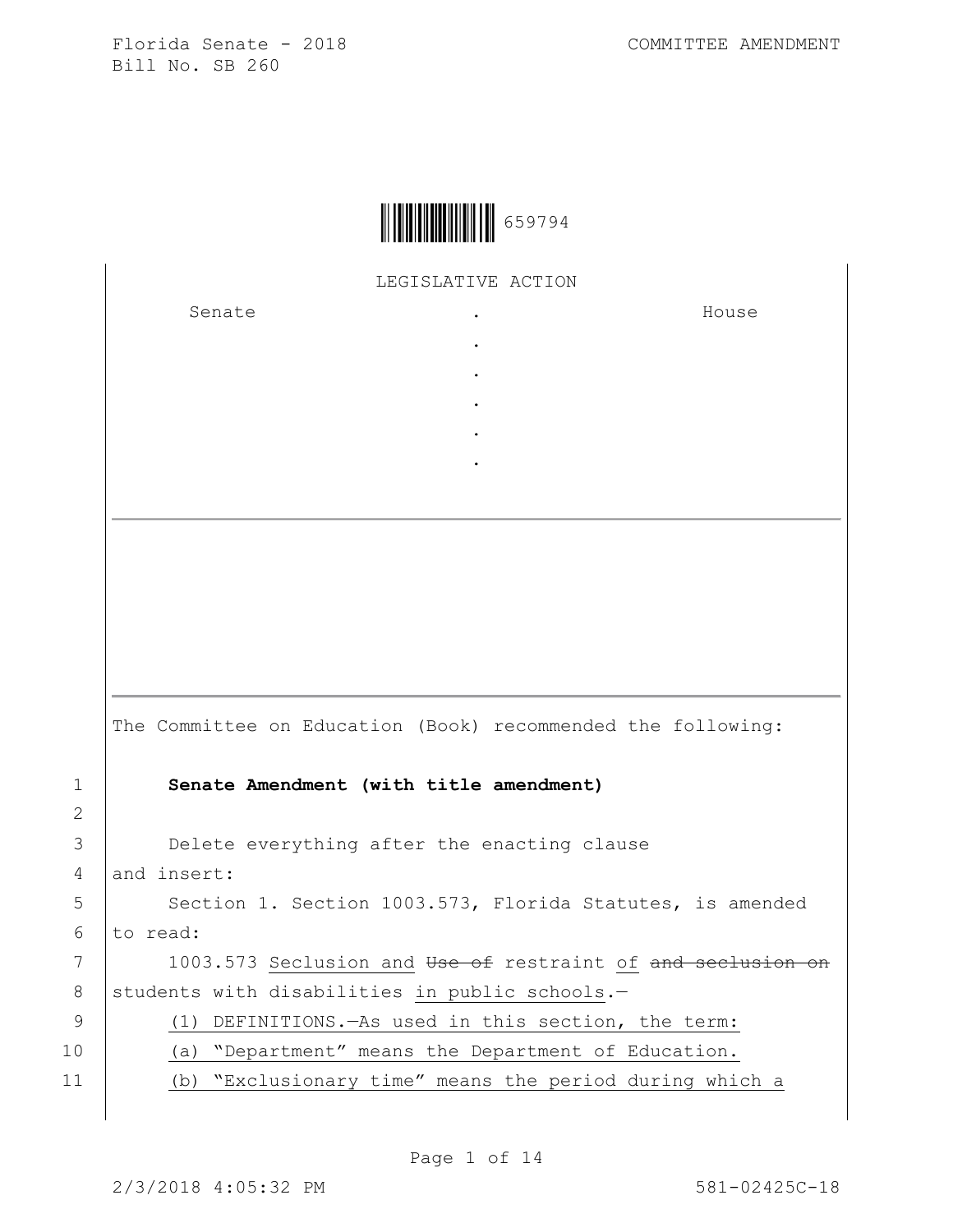|  | 659794 |
|--|--------|
|--|--------|

LEGISLATIVE ACTION

. . . . .

Senate the senate of the senate  $\cdot$ 

House

|               | The Committee on Education (Book) recommended the following: |
|---------------|--------------------------------------------------------------|
|               | Senate Amendment (with title amendment)                      |
| $\mathcal{L}$ |                                                              |
| 3             | Delete everything after the enacting clause                  |
| 4             | and insert:                                                  |
| 5             | Section 1. Section 1003.573, Florida Statutes, is amended    |
| 6             | to read:                                                     |
| 7             | 1003.573 Seclusion and Use of restraint of and seclusion on  |
| 8             | students with disabilities in public schools.-               |
| 9             | (1) DEFINITIONS. - As used in this section, the term:        |
| 10            | (a) "Department" means the Department of Education.          |
| 11            | (b) "Exclusionary time" means the period during which a      |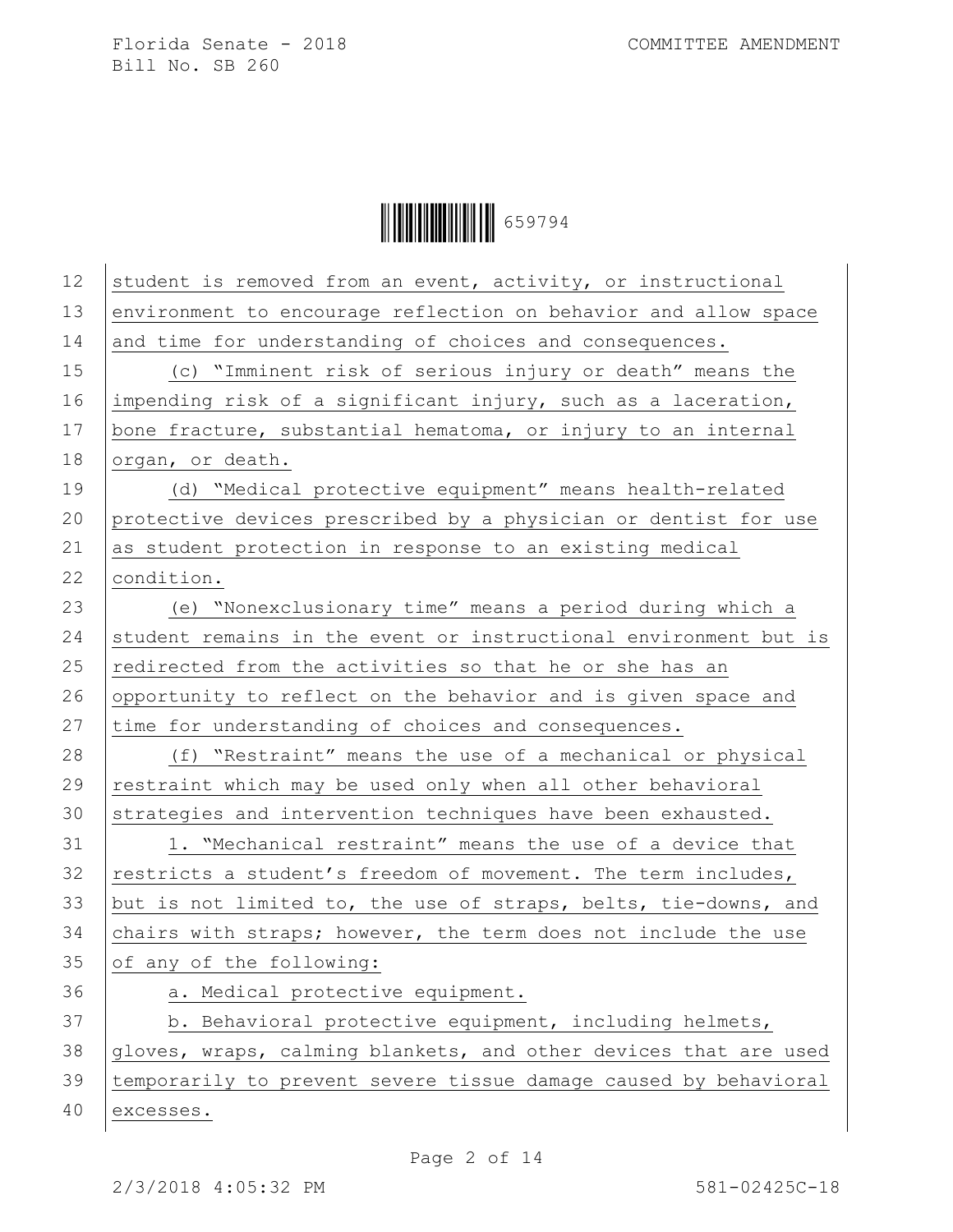Ì659794aÎ659794

| 12 | student is removed from an event, activity, or instructional     |
|----|------------------------------------------------------------------|
| 13 | environment to encourage reflection on behavior and allow space  |
| 14 | and time for understanding of choices and consequences.          |
| 15 | (c) "Imminent risk of serious injury or death" means the         |
| 16 | impending risk of a significant injury, such as a laceration,    |
| 17 | bone fracture, substantial hematoma, or injury to an internal    |
| 18 | organ, or death.                                                 |
| 19 | (d) "Medical protective equipment" means health-related          |
| 20 | protective devices prescribed by a physician or dentist for use  |
| 21 | as student protection in response to an existing medical         |
| 22 | condition.                                                       |
| 23 | (e) "Nonexclusionary time" means a period during which a         |
| 24 | student remains in the event or instructional environment but is |
| 25 | redirected from the activities so that he or she has an          |
| 26 | opportunity to reflect on the behavior and is given space and    |
| 27 | time for understanding of choices and consequences.              |
| 28 | (f) "Restraint" means the use of a mechanical or physical        |
| 29 | restraint which may be used only when all other behavioral       |
| 30 | strategies and intervention techniques have been exhausted.      |
| 31 | 1. "Mechanical restraint" means the use of a device that         |
| 32 | restricts a student's freedom of movement. The term includes,    |
| 33 | but is not limited to, the use of straps, belts, tie-downs, and  |
| 34 | chairs with straps; however, the term does not include the use   |
| 35 | of any of the following:                                         |
| 36 | a. Medical protective equipment.                                 |
| 37 | b. Behavioral protective equipment, including helmets,           |
| 38 | gloves, wraps, calming blankets, and other devices that are used |
| 39 | temporarily to prevent severe tissue damage caused by behavioral |
| 40 | excesses.                                                        |
|    |                                                                  |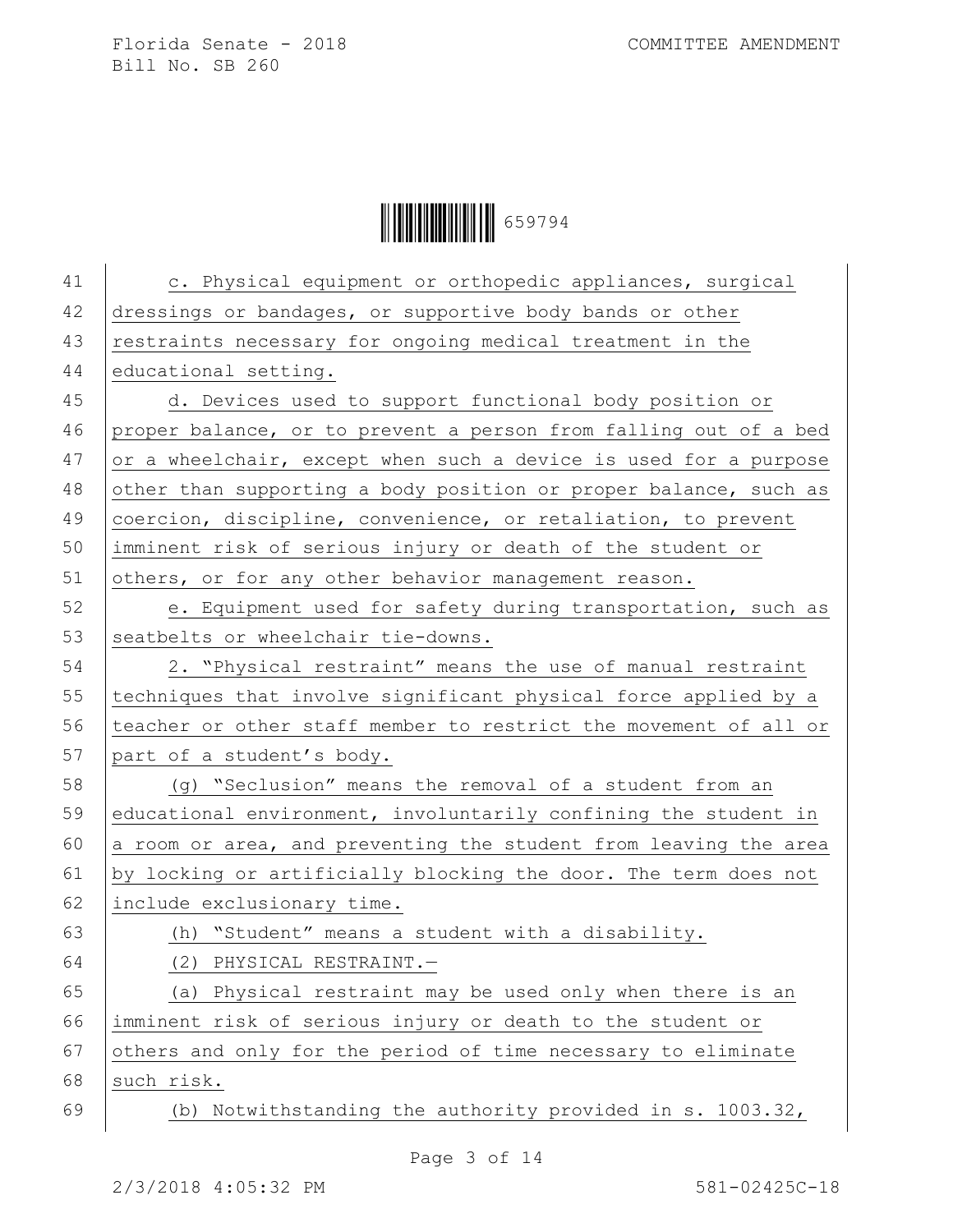Ì659794aÎ659794

| 41 | c. Physical equipment or orthopedic appliances, surgical         |
|----|------------------------------------------------------------------|
| 42 | dressings or bandages, or supportive body bands or other         |
| 43 | restraints necessary for ongoing medical treatment in the        |
| 44 | educational setting.                                             |
| 45 | d. Devices used to support functional body position or           |
| 46 | proper balance, or to prevent a person from falling out of a bed |
| 47 | or a wheelchair, except when such a device is used for a purpose |
| 48 | other than supporting a body position or proper balance, such as |
| 49 | coercion, discipline, convenience, or retaliation, to prevent    |
| 50 | imminent risk of serious injury or death of the student or       |
| 51 | others, or for any other behavior management reason.             |
| 52 | e. Equipment used for safety during transportation, such as      |
| 53 | seatbelts or wheelchair tie-downs.                               |
| 54 | 2. "Physical restraint" means the use of manual restraint        |
| 55 | techniques that involve significant physical force applied by a  |
| 56 | teacher or other staff member to restrict the movement of all or |
| 57 | part of a student's body.                                        |
| 58 | (q) "Seclusion" means the removal of a student from an           |
| 59 | educational environment, involuntarily confining the student in  |
| 60 | a room or area, and preventing the student from leaving the area |
| 61 | by locking or artificially blocking the door. The term does not  |
| 62 | include exclusionary time.                                       |
| 63 | (h) "Student" means a student with a disability.                 |
| 64 | (2) PHYSICAL RESTRAINT.-                                         |
| 65 | (a) Physical restraint may be used only when there is an         |
| 66 | imminent risk of serious injury or death to the student or       |
| 67 | others and only for the period of time necessary to eliminate    |
| 68 | such risk.                                                       |
| 69 | (b) Notwithstanding the authority provided in s. 1003.32,        |
|    |                                                                  |

Page 3 of 14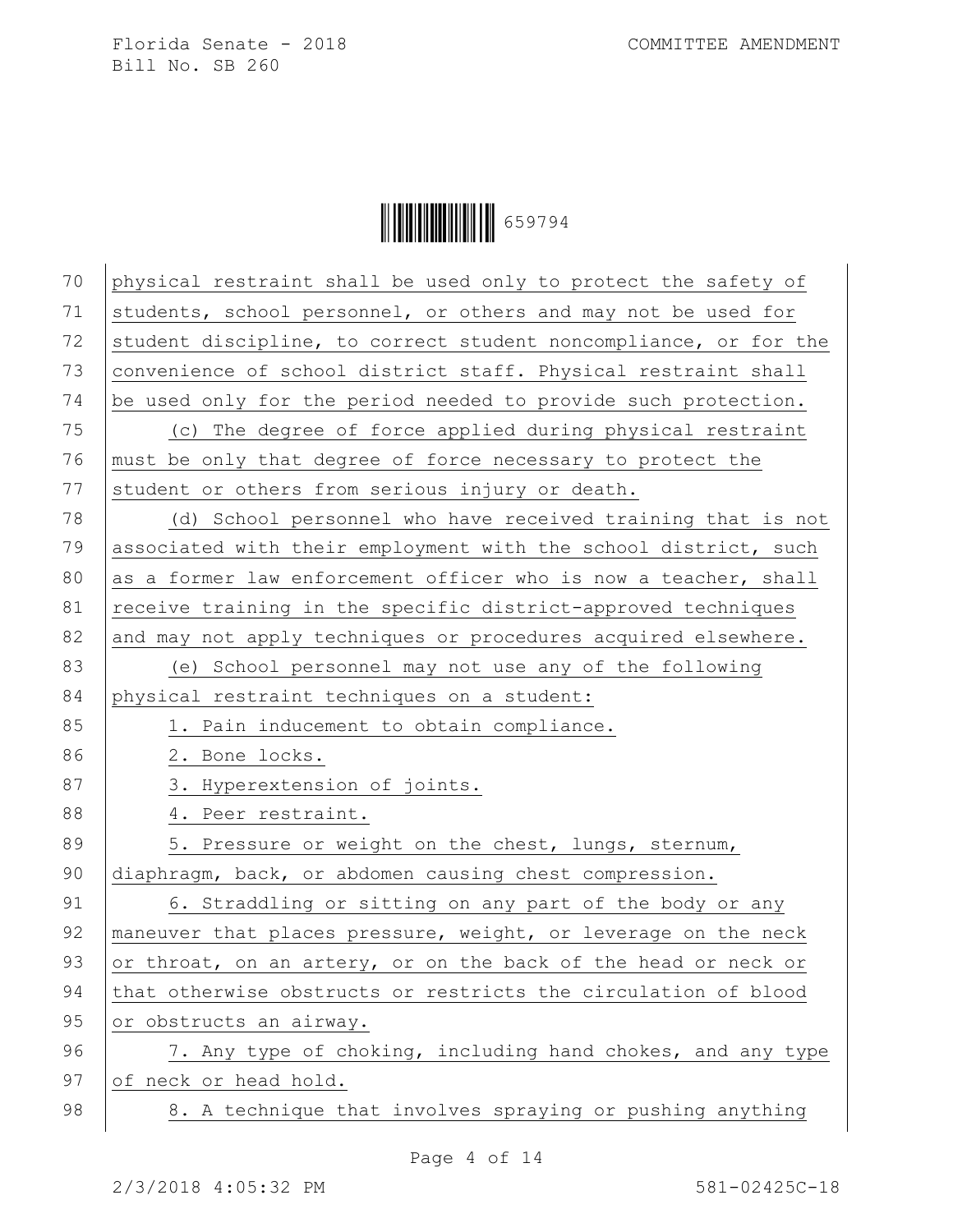

| 70 | physical restraint shall be used only to protect the safety of   |
|----|------------------------------------------------------------------|
| 71 | students, school personnel, or others and may not be used for    |
| 72 | student discipline, to correct student noncompliance, or for the |
| 73 | convenience of school district staff. Physical restraint shall   |
| 74 | be used only for the period needed to provide such protection.   |
| 75 | (c) The degree of force applied during physical restraint        |
| 76 | must be only that degree of force necessary to protect the       |
| 77 | student or others from serious injury or death.                  |
| 78 | (d) School personnel who have received training that is not      |
| 79 | associated with their employment with the school district, such  |
| 80 | as a former law enforcement officer who is now a teacher, shall  |
| 81 | receive training in the specific district-approved techniques    |
| 82 | and may not apply techniques or procedures acquired elsewhere.   |
| 83 | (e) School personnel may not use any of the following            |
| 84 | physical restraint techniques on a student:                      |
| 85 | 1. Pain inducement to obtain compliance.                         |
| 86 | 2. Bone locks.                                                   |
| 87 | 3. Hyperextension of joints.                                     |
| 88 | 4. Peer restraint.                                               |
| 89 | 5. Pressure or weight on the chest, lungs, sternum,              |
| 90 | diaphragm, back, or abdomen causing chest compression.           |
| 91 | 6. Straddling or sitting on any part of the body or any          |
| 92 | maneuver that places pressure, weight, or leverage on the neck   |
| 93 | or throat, on an artery, or on the back of the head or neck or   |
| 94 |                                                                  |
|    | that otherwise obstructs or restricts the circulation of blood   |
| 95 | or obstructs an airway.                                          |
| 96 | 7. Any type of choking, including hand chokes, and any type      |
| 97 | of neck or head hold.                                            |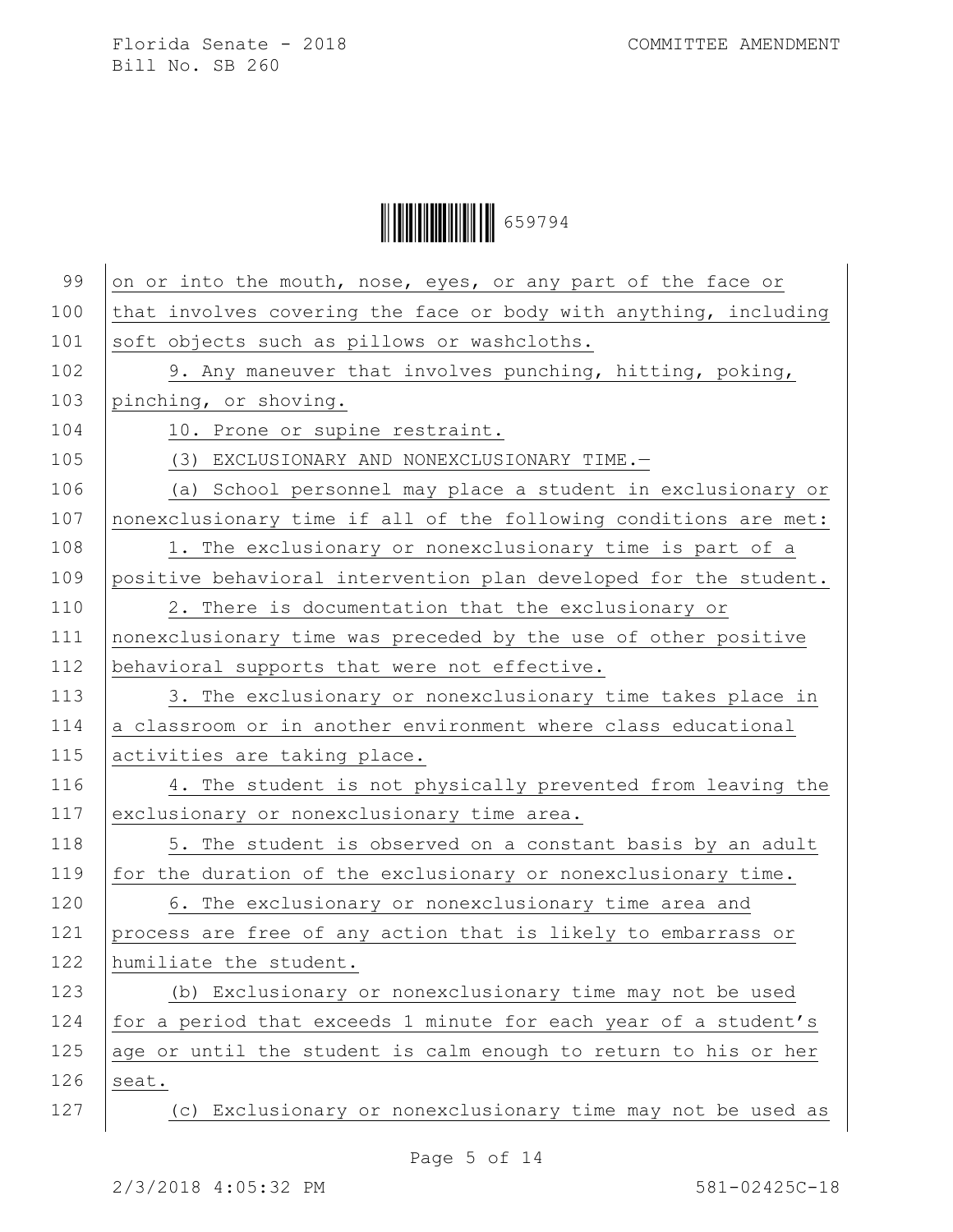Ì659794aÎ659794

| 99  | on or into the mouth, nose, eyes, or any part of the face or     |
|-----|------------------------------------------------------------------|
| 100 | that involves covering the face or body with anything, including |
| 101 | soft objects such as pillows or washcloths.                      |
| 102 | 9. Any maneuver that involves punching, hitting, poking,         |
| 103 | pinching, or shoving.                                            |
| 104 | 10. Prone or supine restraint.                                   |
| 105 | (3) EXCLUSIONARY AND NONEXCLUSIONARY TIME.-                      |
| 106 | (a) School personnel may place a student in exclusionary or      |
| 107 | nonexclusionary time if all of the following conditions are met: |
| 108 | 1. The exclusionary or nonexclusionary time is part of a         |
| 109 | positive behavioral intervention plan developed for the student. |
| 110 | 2. There is documentation that the exclusionary or               |
| 111 | nonexclusionary time was preceded by the use of other positive   |
| 112 | behavioral supports that were not effective.                     |
| 113 | 3. The exclusionary or nonexclusionary time takes place in       |
| 114 | a classroom or in another environment where class educational    |
| 115 | activities are taking place.                                     |
| 116 | 4. The student is not physically prevented from leaving the      |
| 117 | exclusionary or nonexclusionary time area.                       |
| 118 | 5. The student is observed on a constant basis by an adult       |
| 119 | for the duration of the exclusionary or nonexclusionary time.    |
| 120 | 6. The exclusionary or nonexclusionary time area and             |
| 121 | process are free of any action that is likely to embarrass or    |
| 122 | humiliate the student.                                           |
| 123 | (b) Exclusionary or nonexclusionary time may not be used         |
| 124 | for a period that exceeds 1 minute for each year of a student's  |
| 125 | age or until the student is calm enough to return to his or her  |
| 126 | seat.                                                            |
| 127 | (c) Exclusionary or nonexclusionary time may not be used as      |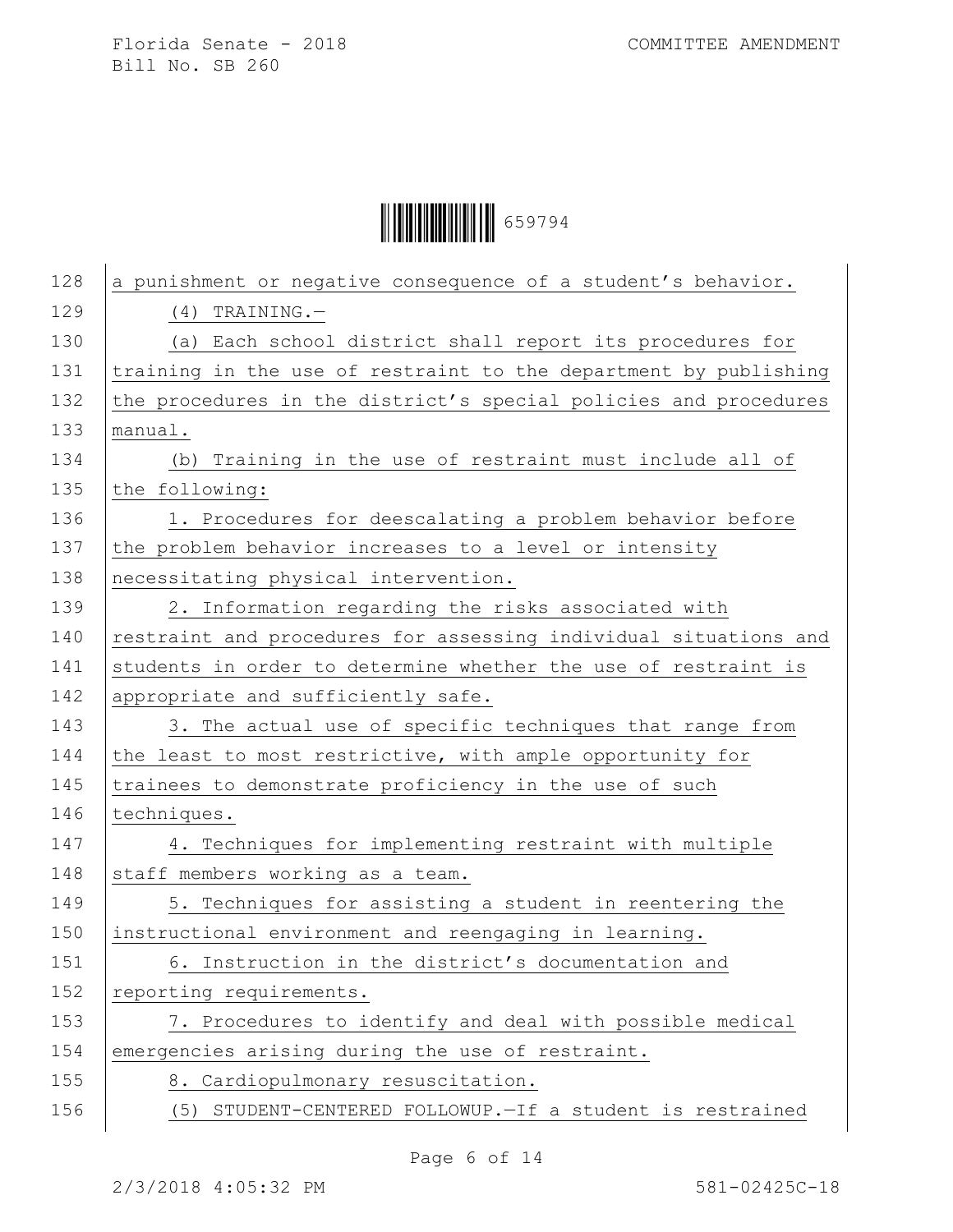

| 128 | a punishment or negative consequence of a student's behavior.    |
|-----|------------------------------------------------------------------|
| 129 | $(4)$ TRAINING. -                                                |
| 130 | (a) Each school district shall report its procedures for         |
| 131 | training in the use of restraint to the department by publishing |
| 132 | the procedures in the district's special policies and procedures |
| 133 | manual.                                                          |
| 134 | (b) Training in the use of restraint must include all of         |
| 135 | the following:                                                   |
| 136 | 1. Procedures for deescalating a problem behavior before         |
| 137 | the problem behavior increases to a level or intensity           |
| 138 | necessitating physical intervention.                             |
| 139 | 2. Information regarding the risks associated with               |
| 140 | restraint and procedures for assessing individual situations and |
| 141 | students in order to determine whether the use of restraint is   |
| 142 | appropriate and sufficiently safe.                               |
| 143 | 3. The actual use of specific techniques that range from         |
| 144 | the least to most restrictive, with ample opportunity for        |
| 145 | trainees to demonstrate proficiency in the use of such           |
| 146 | techniques.                                                      |
| 147 | 4. Techniques for implementing restraint with multiple           |
| 148 | staff members working as a team.                                 |
| 149 | 5. Techniques for assisting a student in reentering the          |
| 150 | instructional environment and reengaging in learning.            |
| 151 | 6. Instruction in the district's documentation and               |
| 152 | reporting requirements.                                          |
| 153 | 7. Procedures to identify and deal with possible medical         |
| 154 | emergencies arising during the use of restraint.                 |
| 155 | 8. Cardiopulmonary resuscitation.                                |
| 156 | (5) STUDENT-CENTERED FOLLOWUP. - If a student is restrained      |

Page 6 of 14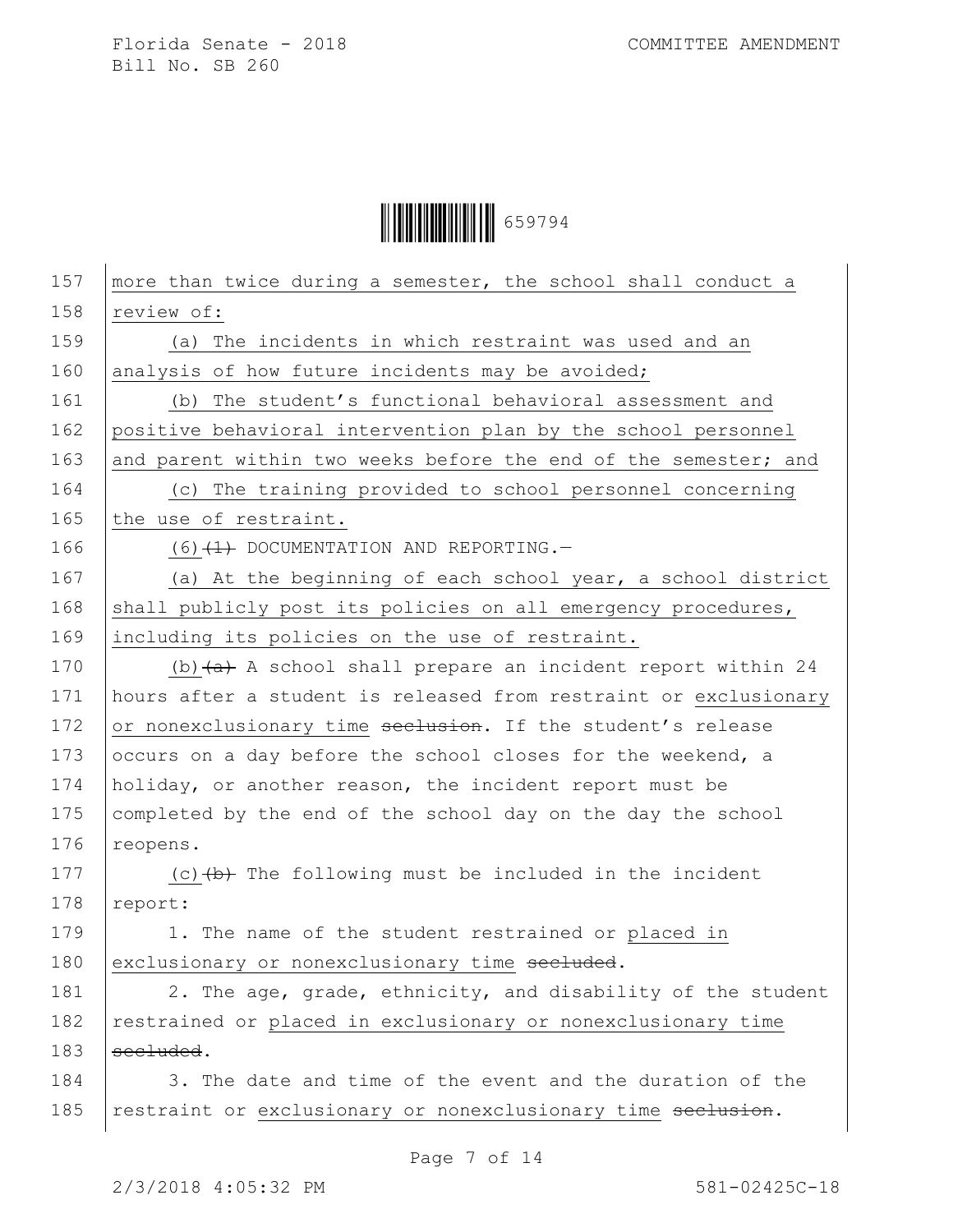

| 157 | more than twice during a semester, the school shall conduct a    |
|-----|------------------------------------------------------------------|
| 158 | review of:                                                       |
| 159 | (a) The incidents in which restraint was used and an             |
| 160 | analysis of how future incidents may be avoided;                 |
| 161 | (b) The student's functional behavioral assessment and           |
| 162 | positive behavioral intervention plan by the school personnel    |
| 163 | and parent within two weeks before the end of the semester; and  |
| 164 | (c) The training provided to school personnel concerning         |
| 165 | the use of restraint.                                            |
| 166 | $(6)$ $(1)$ DOCUMENTATION AND REPORTING.                         |
| 167 | (a) At the beginning of each school year, a school district      |
| 168 | shall publicly post its policies on all emergency procedures,    |
| 169 | including its policies on the use of restraint.                  |
| 170 | (b) $(a)$ A school shall prepare an incident report within 24    |
| 171 | hours after a student is released from restraint or exclusionary |
| 172 | or nonexclusionary time seclusion. If the student's release      |
| 173 | occurs on a day before the school closes for the weekend, a      |
| 174 | holiday, or another reason, the incident report must be          |
| 175 | completed by the end of the school day on the day the school     |
| 176 | reopens.                                                         |
| 177 | (c) $(b)$ The following must be included in the incident         |
| 178 | report:                                                          |
| 179 | 1. The name of the student restrained or placed in               |
| 180 | exclusionary or nonexclusionary time secluded.                   |
| 181 | 2. The age, grade, ethnicity, and disability of the student      |
| 182 | restrained or placed in exclusionary or nonexclusionary time     |
| 183 | secluded.                                                        |
| 184 | 3. The date and time of the event and the duration of the        |
| 185 | restraint or exclusionary or nonexclusionary time seclusion.     |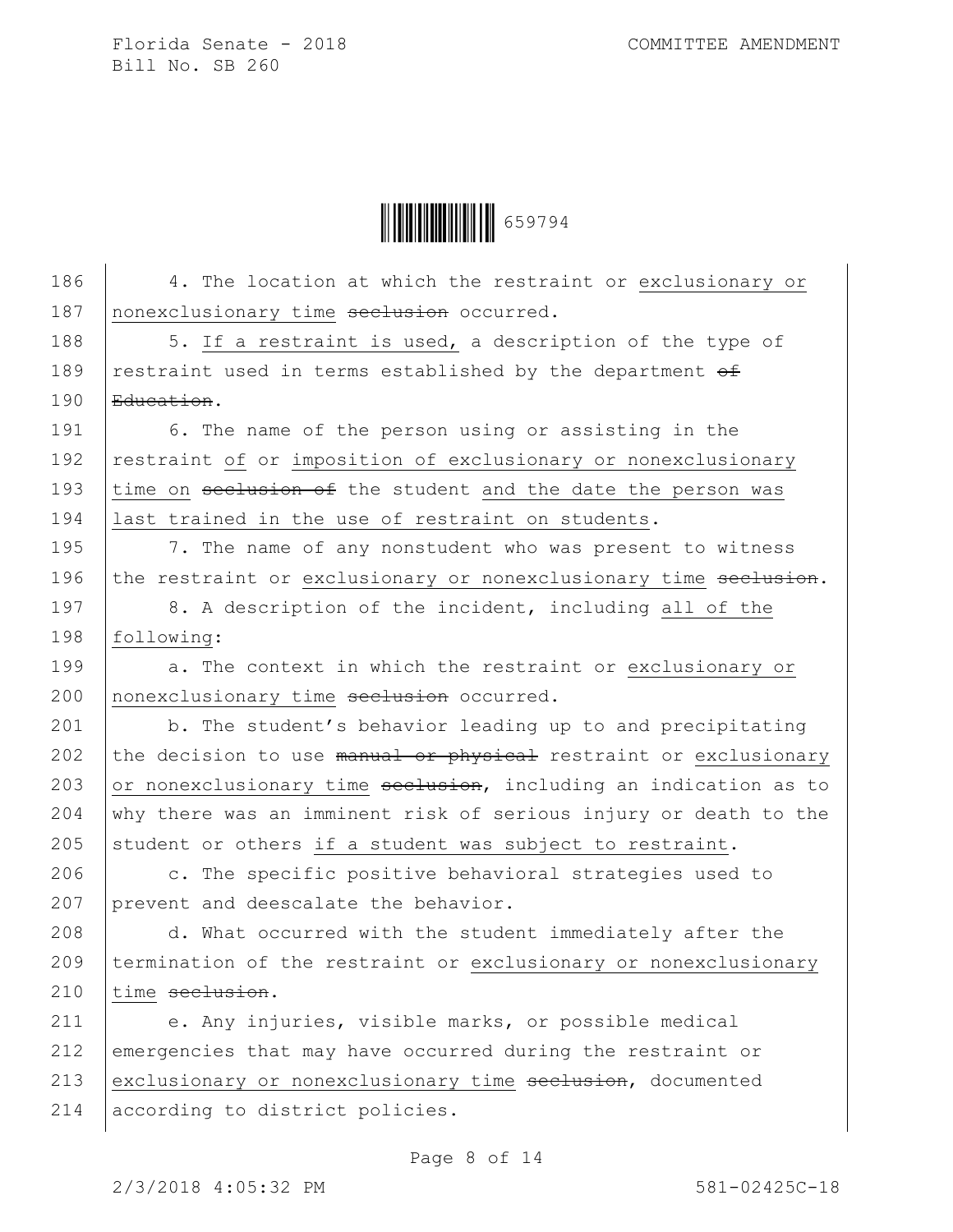

| 186 | 4. The location at which the restraint or exclusionary or        |
|-----|------------------------------------------------------------------|
| 187 | nonexclusionary time seclusion occurred.                         |
| 188 | 5. If a restraint is used, a description of the type of          |
| 189 | restraint used in terms established by the department of         |
| 190 | Education.                                                       |
| 191 | 6. The name of the person using or assisting in the              |
| 192 | restraint of or imposition of exclusionary or nonexclusionary    |
| 193 | time on seclusion of the student and the date the person was     |
| 194 | last trained in the use of restraint on students.                |
| 195 | 7. The name of any nonstudent who was present to witness         |
| 196 | the restraint or exclusionary or nonexclusionary time seclusion. |
| 197 | 8. A description of the incident, including all of the           |
| 198 | following:                                                       |
| 199 | a. The context in which the restraint or exclusionary or         |
| 200 | nonexclusionary time seclusion occurred.                         |
| 201 | b. The student's behavior leading up to and precipitating        |
| 202 | the decision to use manual or physical restraint or exclusionary |
| 203 | or nonexclusionary time seclusion, including an indication as to |
| 204 | why there was an imminent risk of serious injury or death to the |
| 205 | student or others if a student was subject to restraint.         |
| 206 | c. The specific positive behavioral strategies used to           |
| 207 | prevent and deescalate the behavior.                             |
| 208 | d. What occurred with the student immediately after the          |
| 209 | termination of the restraint or exclusionary or nonexclusionary  |
| 210 | time seclusion.                                                  |
| 211 | e. Any injuries, visible marks, or possible medical              |
| 212 | emergencies that may have occurred during the restraint or       |
| 213 | exclusionary or nonexclusionary time seelusion, documented       |
| 214 | according to district policies.                                  |

Page 8 of 14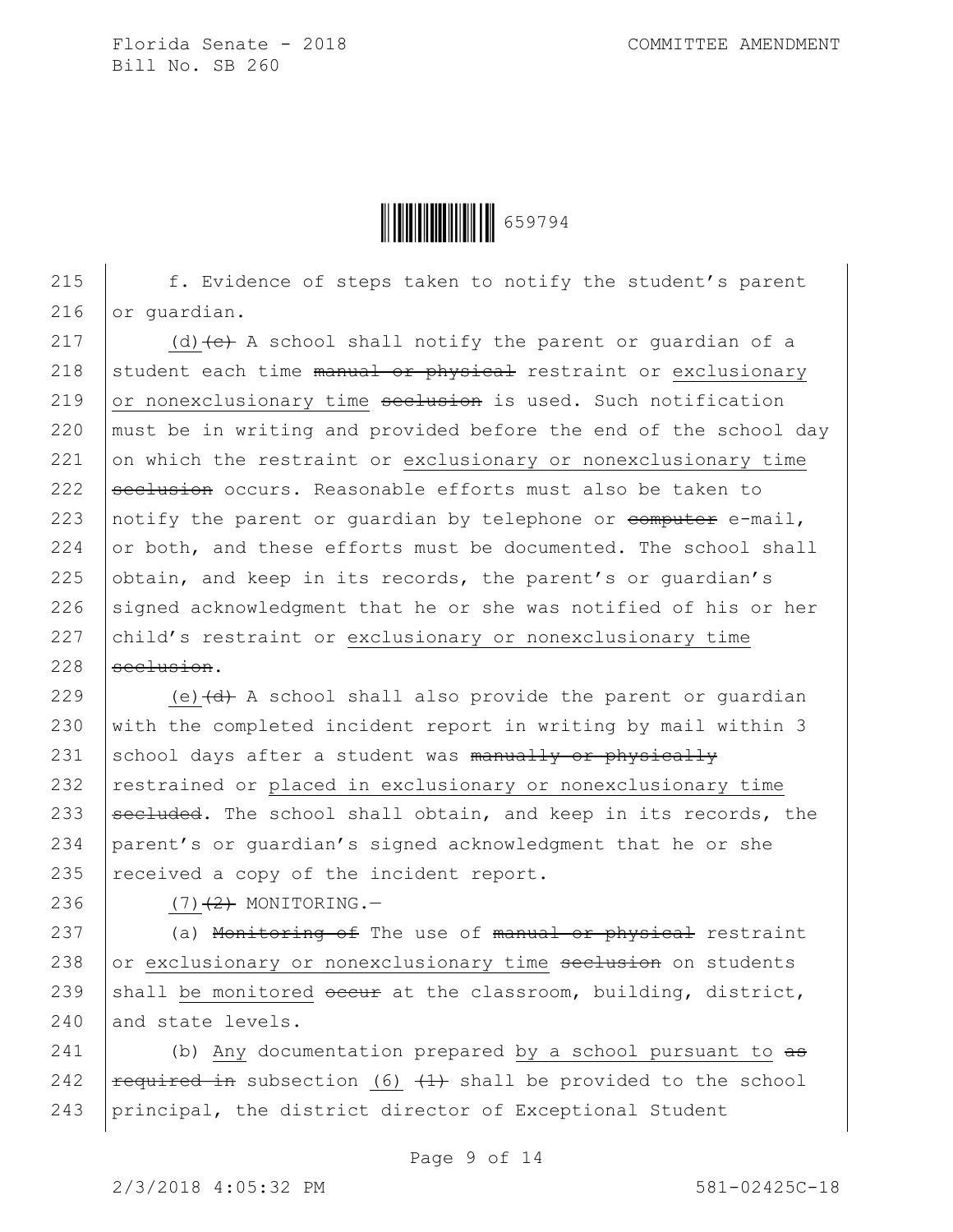

215 f. Evidence of steps taken to notify the student's parent 216 or quardian.

217 (d)  $\left\{ e\right\}$  A school shall notify the parent or quardian of a 218 student each time manual or physical restraint or exclusionary 219  $\sigma$  or nonexclusionary time seclusion is used. Such notification 220  $\vert$  must be in writing and provided before the end of the school day 221 on which the restraint or exclusionary or nonexclusionary time 222  $\beta$  seclusion occurs. Reasonable efforts must also be taken to 223 | notify the parent or guardian by telephone or  $\epsilon$ omputer e-mail, 224  $\sigma$  or both, and these efforts must be documented. The school shall 225 obtain, and keep in its records, the parent's or quardian's 226 signed acknowledgment that he or she was notified of his or her 227  $|child's$  restraint or exclusionary or nonexclusionary time  $228$  seclusion.

229 (e)  $\left(\frac{d}{dt} + A \right)$  school shall also provide the parent or quardian 230 with the completed incident report in writing by mail within 3 231 school days after a student was manually or physically 232 restrained or placed in exclusionary or nonexclusionary time 233  $\sqrt{\frac{320}{100}}$  secluded. The school shall obtain, and keep in its records, the 234 parent's or guardian's signed acknowledgment that he or she 235  $|$  received a copy of the incident report.

236 (7)<del>(2)</del> MONITORING.

237  $\vert$  (a) Monitoring of The use of manual or physical restraint  $238$  or exclusionary or nonexclusionary time seclusion on students 239 shall be monitored  $\frac{1}{2}$  at the classroom, building, district, 240 and state levels.

241  $\vert$  (b) Any documentation prepared by a school pursuant to  $a\overline{b}$ 242  $\vert$  required in subsection (6)  $\vert$   $\vert$  shall be provided to the school 243 principal, the district director of Exceptional Student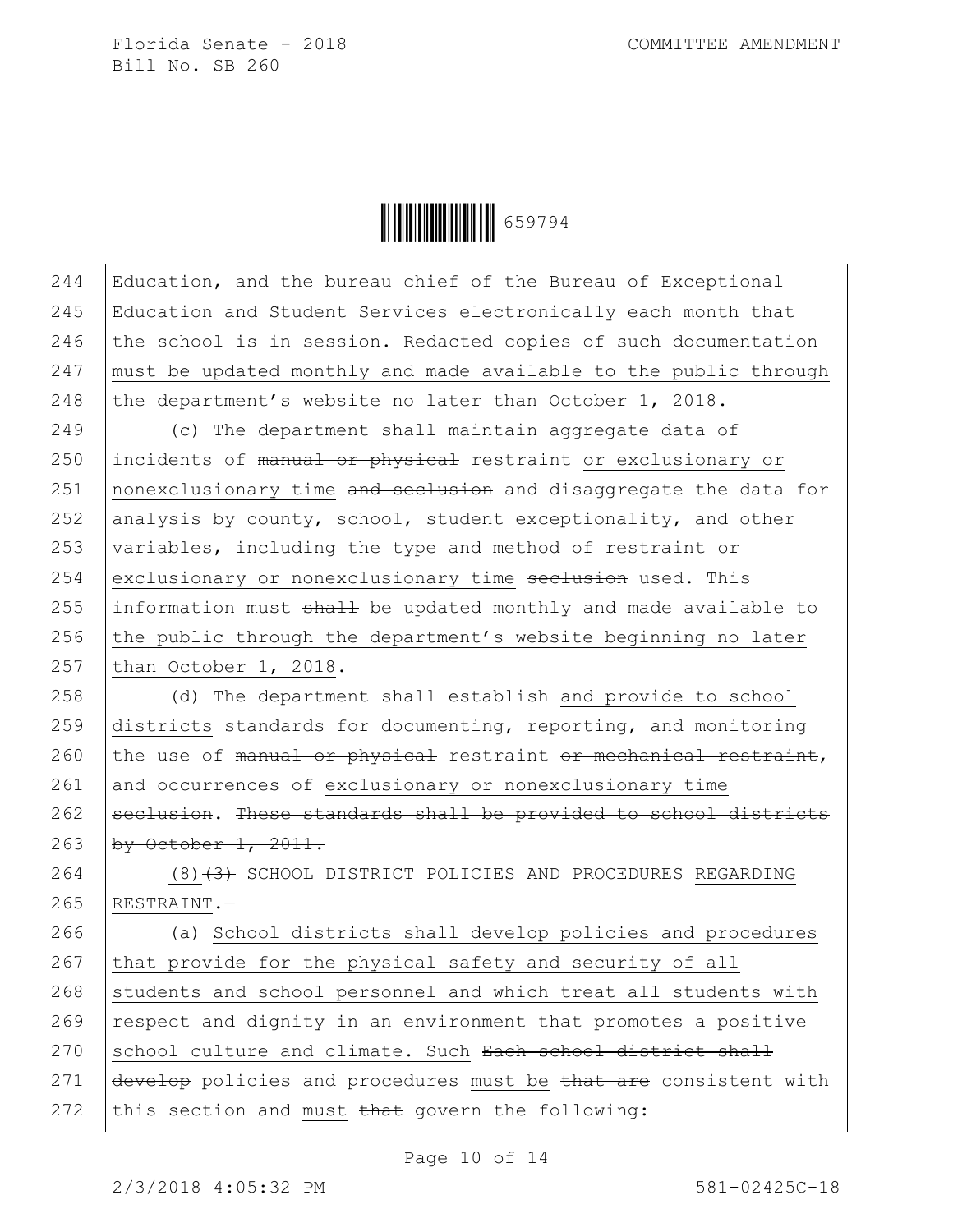

244 Education, and the bureau chief of the Bureau of Exceptional 245 Education and Student Services electronically each month that 246 the school is in session. Redacted copies of such documentation  $247$  must be updated monthly and made available to the public through 248 the department's website no later than October 1, 2018.

249 (c) The department shall maintain aggregate data of 250 incidents of manual or physical restraint or exclusionary or 251 nonexclusionary time and seclusion and disaggregate the data for 252 analysis by county, school, student exceptionality, and other 253  $\sqrt{a}$  variables, including the type and method of restraint or 254 exclusionary or nonexclusionary time  $\frac{1}{254}$  exclusionary or nonexclusionary time  $\frac{1}{254}$ 255 information must  $shall$  be updated monthly and made available to 256 the public through the department's website beginning no later 257 than October 1, 2018.

258 (d) The department shall establish and provide to school 259 districts standards for documenting, reporting, and monitoring 260 the use of manual or physical restraint or mechanical restraint, 261 and occurrences of exclusionary or nonexclusionary time 262 seclusion. These standards shall be provided to school districts 263  $by$  October 1, 2011.

264 (8)<del>(3)</del> SCHOOL DISTRICT POLICIES AND PROCEDURES REGARDING 265 RESTRAINT.—

 (a) School districts shall develop policies and procedures 267 that provide for the physical safety and security of all students and school personnel and which treat all students with respect and dignity in an environment that promotes a positive school culture and climate. Such Each school district shall  $\frac{d}{dx}$  develop policies and procedures must be that are consistent with 272 this section and must  $\frac{1}{272}$  the following:

Page 10 of 14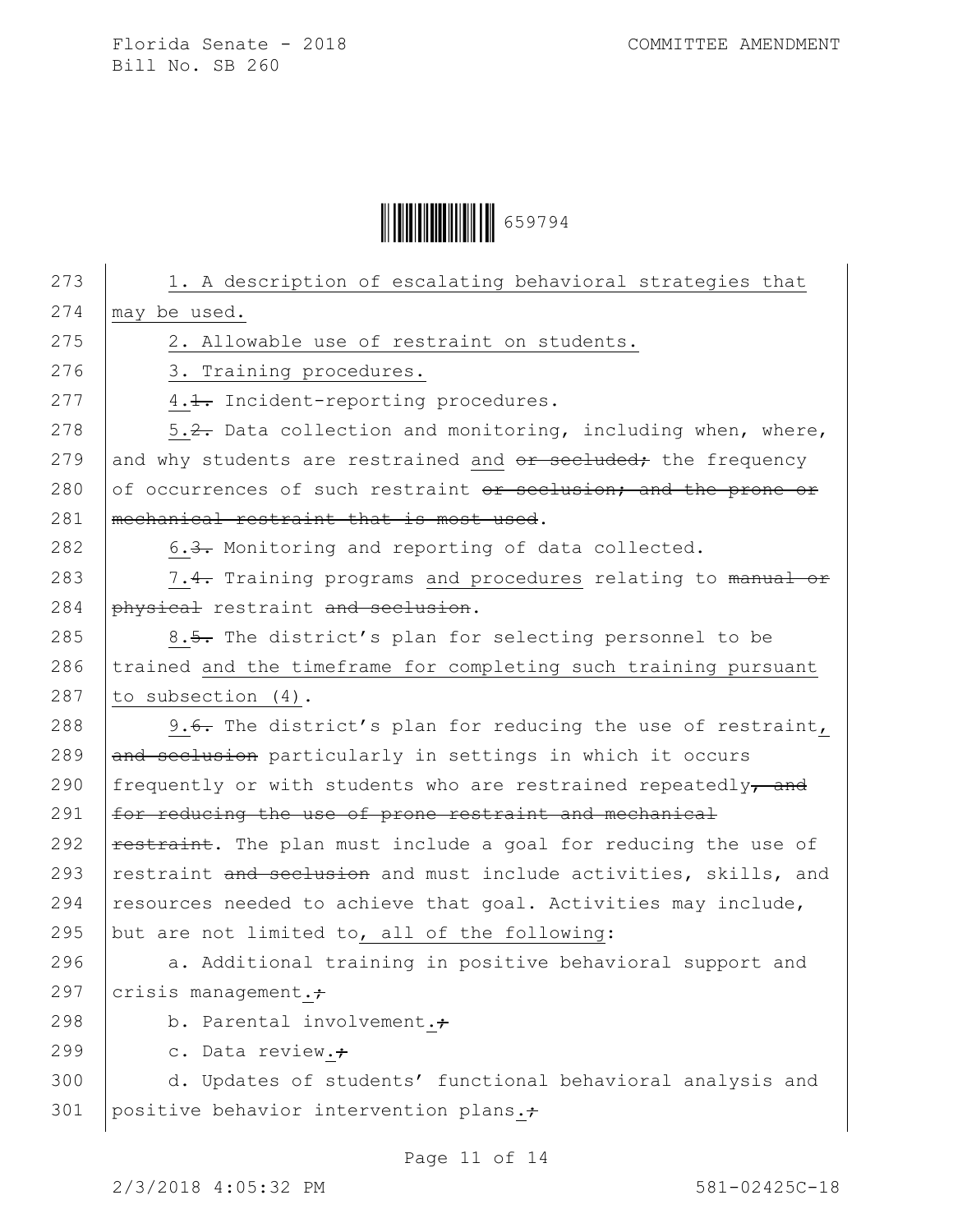Ì659794aÎ659794

273 | 1. A description of escalating behavioral strategies that 274  $\vert$  may be used. 275 | 2. Allowable use of restraint on students. 276 | 3. Training procedures. 277 4.1. Incident-reporting procedures. 278  $\vert$  5.2. Data collection and monitoring, including when, where, 279 and why students are restrained and  $\sigma$  secluded; the frequency 280 of occurrences of such restraint  $\theta$ r seclusion; and the prone or 281 | mechanical restraint that is most used. 282  $\vert$  6.3. Monitoring and reporting of data collected. 283 7.4. Training programs and procedures relating to manual or 284 physical restraint and seclusion. 285  $\vert$  8.5. The district's plan for selecting personnel to be  $286$  trained and the timeframe for completing such training pursuant 287  $\vert$  to subsection (4). 288 9.6. The district's plan for reducing the use of restraint,  $289$  and seclusion particularly in settings in which it occurs 290 frequently or with students who are restrained repeatedly $\tau$  and 291  $\vert$  for reducing the use of prone restraint and mechanical 292  $\vert$  restraint. The plan must include a goal for reducing the use of 293 restraint and seclusion and must include activities, skills, and 294 resources needed to achieve that goal. Activities may include, 295 but are not limited to, all of the following: 296  $\vert$  a. Additional training in positive behavioral support and 297  $crisis management.$ 298 b. Parental involvement. $\div$ 299  $\vert$  c. Data review.; 300 d. Updates of students' functional behavioral analysis and 301 | positive behavior intervention plans. $\div$ 

Page 11 of 14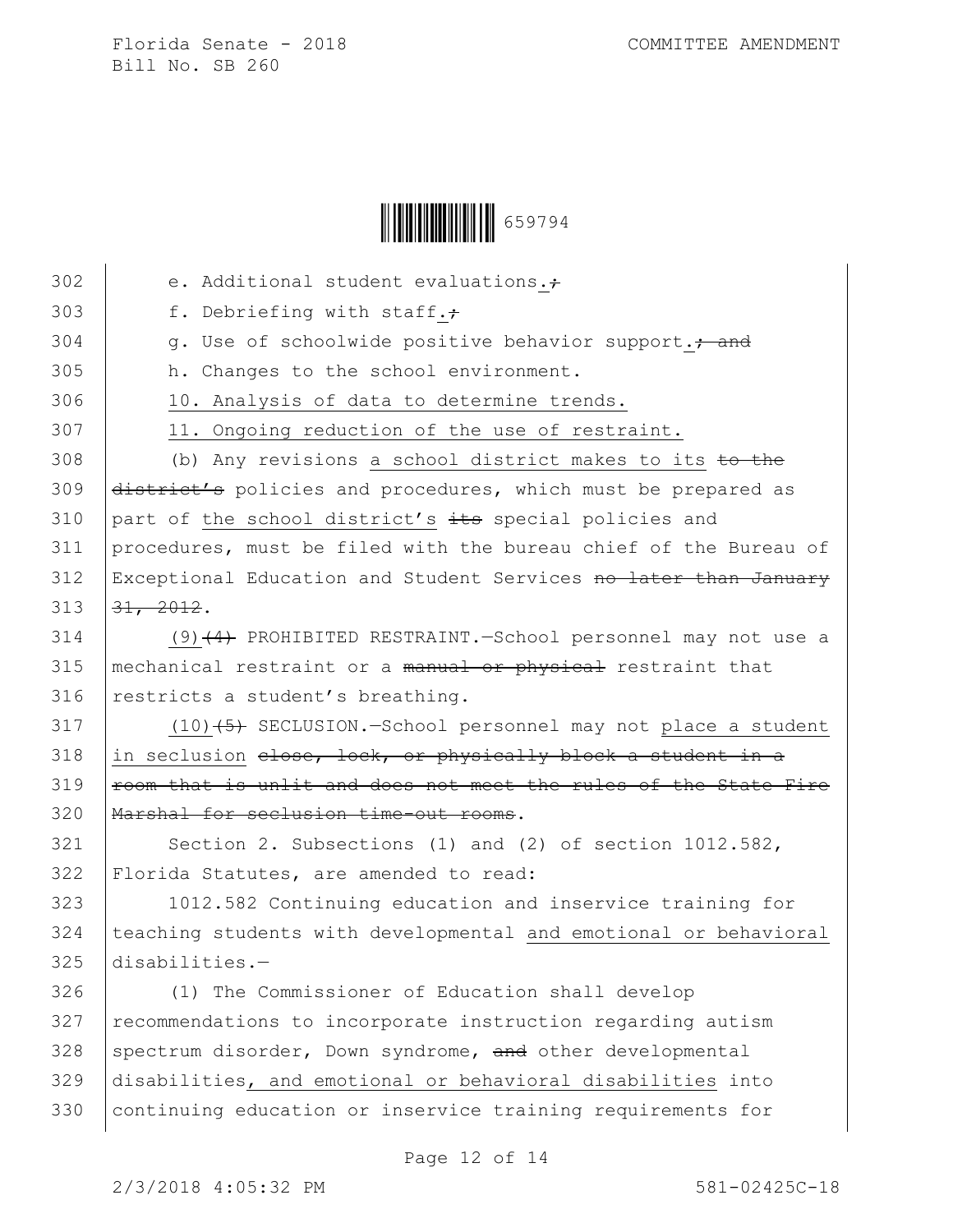

| 302 | e. Additional student evaluations.+                              |
|-----|------------------------------------------------------------------|
| 303 | f. Debriefing with staff.+                                       |
| 304 | g. Use of schoolwide positive behavior support. + and            |
| 305 | h. Changes to the school environment.                            |
| 306 | 10. Analysis of data to determine trends.                        |
| 307 | 11. Ongoing reduction of the use of restraint.                   |
| 308 | (b) Any revisions a school district makes to its to the          |
| 309 | district's policies and procedures, which must be prepared as    |
| 310 | part of the school district's its special policies and           |
| 311 | procedures, must be filed with the bureau chief of the Bureau of |
| 312 | Exceptional Education and Student Services no later than January |
| 313 | 31, 2012.                                                        |
| 314 | $(9)$ $(4)$ PROHIBITED RESTRAINT. School personnel may not use a |
| 315 | mechanical restraint or a manual or physical restraint that      |
| 316 | restricts a student's breathing.                                 |
| 317 | $(10)$ $(5)$ SECLUSION.-School personnel may not place a student |
| 318 | in seclusion elose, lock, or physically block a student in a     |
| 319 | room that is unlit and does not meet the rules of the State Fire |
| 320 | Marshal for seclusion time-out rooms.                            |
| 321 | Section 2. Subsections (1) and (2) of section 1012.582,          |
| 322 | Florida Statutes, are amended to read:                           |
| 323 | 1012.582 Continuing education and inservice training for         |
| 324 | teaching students with developmental and emotional or behavioral |
| 325 | disabilities.-                                                   |
| 326 | (1) The Commissioner of Education shall develop                  |
| 327 | recommendations to incorporate instruction regarding autism      |
| 328 | spectrum disorder, Down syndrome, and other developmental        |
| 329 | disabilities, and emotional or behavioral disabilities into      |
| 330 | continuing education or inservice training requirements for      |
|     |                                                                  |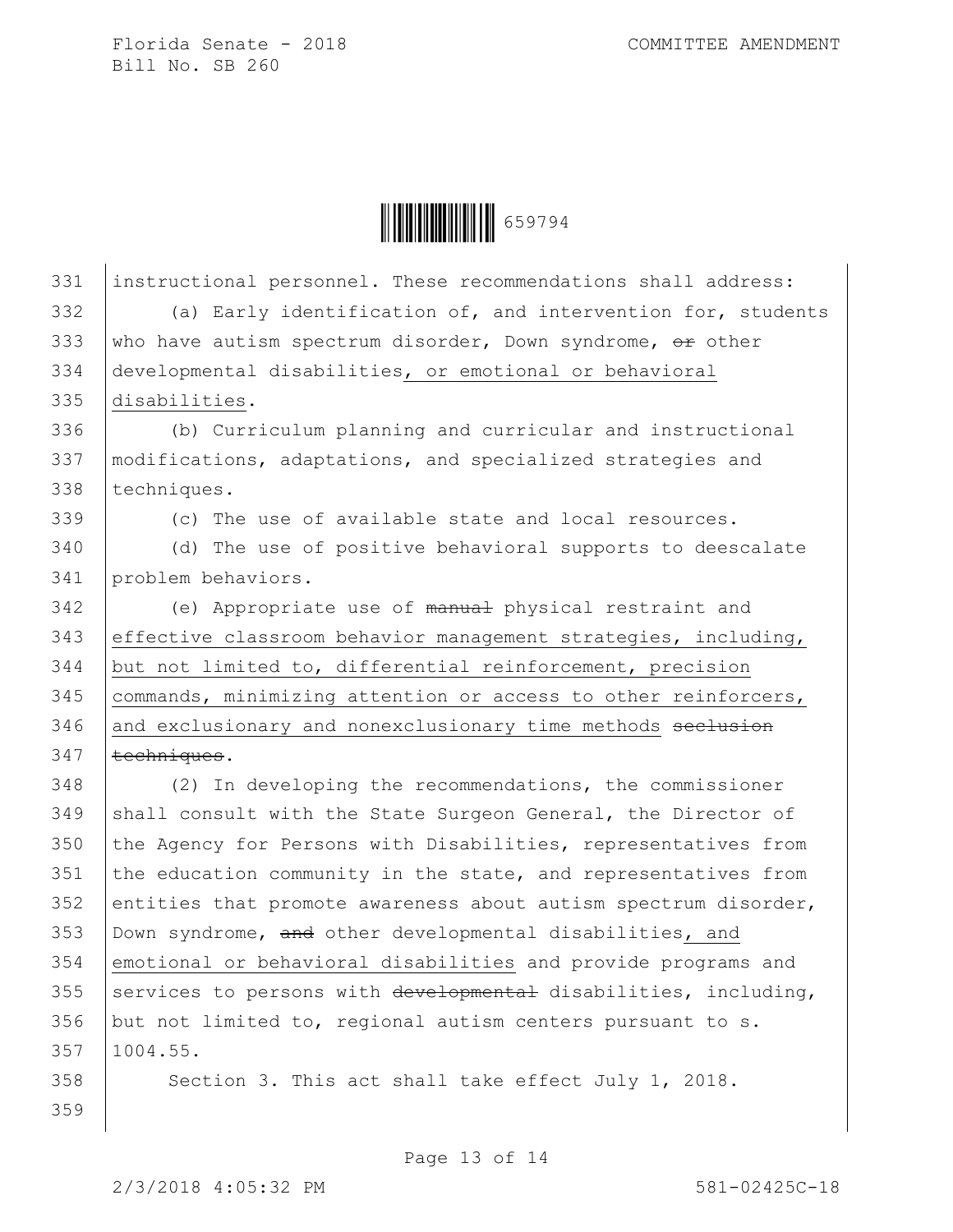

331 instructional personnel. These recommendations shall address: 332 (a) Early identification of, and intervention for, students 333 who have autism spectrum disorder, Down syndrome,  $\Theta$ r other 334 developmental disabilities, or emotional or behavioral 335 disabilities. 336 (b) Curriculum planning and curricular and instructional 337 modifications, adaptations, and specialized strategies and 338 techniques. 339 (c) The use of available state and local resources. 340 (d) The use of positive behavioral supports to deescalate 341 problem behaviors. 342 (e) Appropriate use of manual physical restraint and 343 effective classroom behavior management strategies, including, 344 but not limited to, differential reinforcement, precision 345 commands, minimizing attention or access to other reinforcers, 346 and exclusionary and nonexclusionary time methods seclusion  $347$  | techniques. 348 (2) In developing the recommendations, the commissioner 349 shall consult with the State Surgeon General, the Director of 350 the Agency for Persons with Disabilities, representatives from 351 the education community in the state, and representatives from 352 entities that promote awareness about autism spectrum disorder, 353  $\vert$  Down syndrome, and other developmental disabilities, and 354 emotional or behavioral disabilities and provide programs and 355 services to persons with developmental disabilities, including, 356 but not limited to, regional autism centers pursuant to  $s$ . 357 1004.55. 358 | Section 3. This act shall take effect July 1, 2018. 359